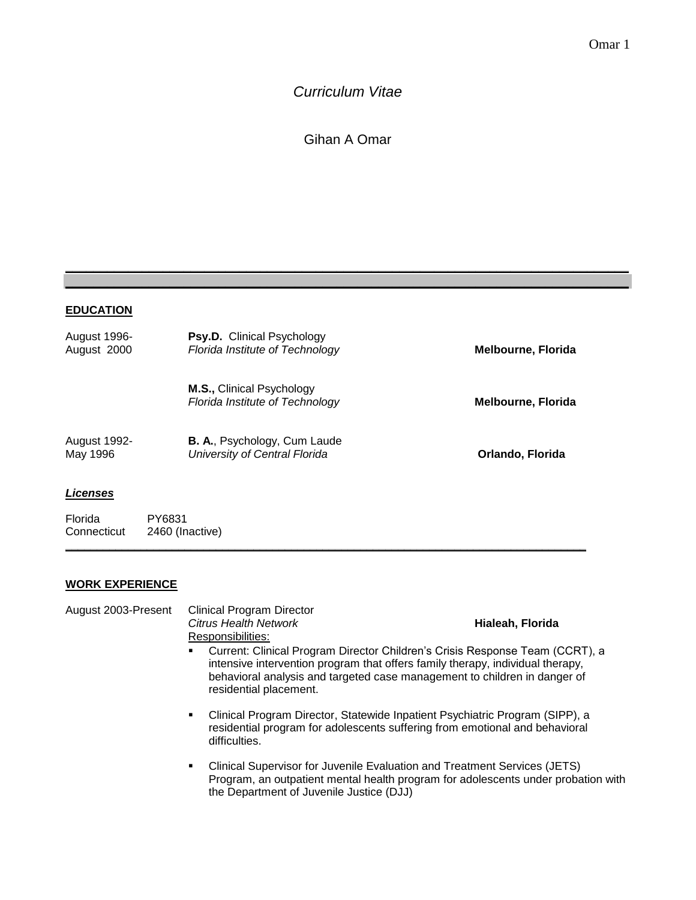# *Curriculum Vitae*

Gihan A Omar

**\_\_\_\_\_\_\_\_\_\_\_\_\_\_\_\_\_\_\_\_\_\_\_\_\_\_\_\_\_\_\_\_\_\_\_\_\_\_\_\_\_\_\_\_\_\_\_\_\_\_\_\_\_\_\_\_\_\_\_\_\_\_\_\_\_\_\_\_\_\_\_\_\_\_\_\_\_\_\_\_\_ \_\_\_\_\_\_\_\_\_\_\_\_\_\_\_\_\_\_\_\_\_\_\_\_\_\_\_\_\_\_\_\_\_\_\_\_\_\_\_\_\_\_\_\_\_\_\_\_\_\_\_\_\_\_\_\_\_\_\_\_\_\_\_\_\_\_\_\_\_\_\_\_\_\_\_\_\_\_\_\_\_**

### **EDUCATION**

| August 1996-<br>August 2000 | <b>Psy.D.</b> Clinical Psychology<br>Florida Institute of Technology | <b>Melbourne, Florida</b> |
|-----------------------------|----------------------------------------------------------------------|---------------------------|
|                             | M.S., Clinical Psychology<br>Florida Institute of Technology         | <b>Melbourne, Florida</b> |
| August 1992-<br>May 1996    | <b>B. A., Psychology, Cum Laude</b><br>University of Central Florida | Orlando, Florida          |

**\_\_\_\_\_\_\_\_\_\_\_\_\_\_\_\_\_\_\_\_\_\_\_\_\_\_\_\_\_\_\_\_\_\_\_\_\_\_\_\_\_\_\_\_\_\_\_\_\_\_\_\_\_\_\_\_\_\_\_\_\_\_\_\_\_\_\_\_\_\_\_\_\_\_\_\_\_\_\_\_\_\_\_**

### *Licenses*

Florida PY6831<br>Connecticut 2460 (In 2460 (Inactive)

## **WORK EXPERIENCE**

| August 2003-Present | <b>Clinical Program Director</b><br>Citrus Health Network<br>Responsibilities: | Hialeah, Florida                                                                                                                                                                                                                            |
|---------------------|--------------------------------------------------------------------------------|---------------------------------------------------------------------------------------------------------------------------------------------------------------------------------------------------------------------------------------------|
|                     | residential placement.                                                         | Current: Clinical Program Director Children's Crisis Response Team (CCRT), a<br>intensive intervention program that offers family therapy, individual therapy,<br>behavioral analysis and targeted case management to children in danger of |
|                     | difficulties.                                                                  | Clinical Program Director, Statewide Inpatient Psychiatric Program (SIPP), a<br>residential program for adolescents suffering from emotional and behavioral                                                                                 |
|                     | the Department of Juvenile Justice (DJJ)                                       | Clinical Supervisor for Juvenile Evaluation and Treatment Services (JETS)<br>Program, an outpatient mental health program for adolescents under probation with                                                                              |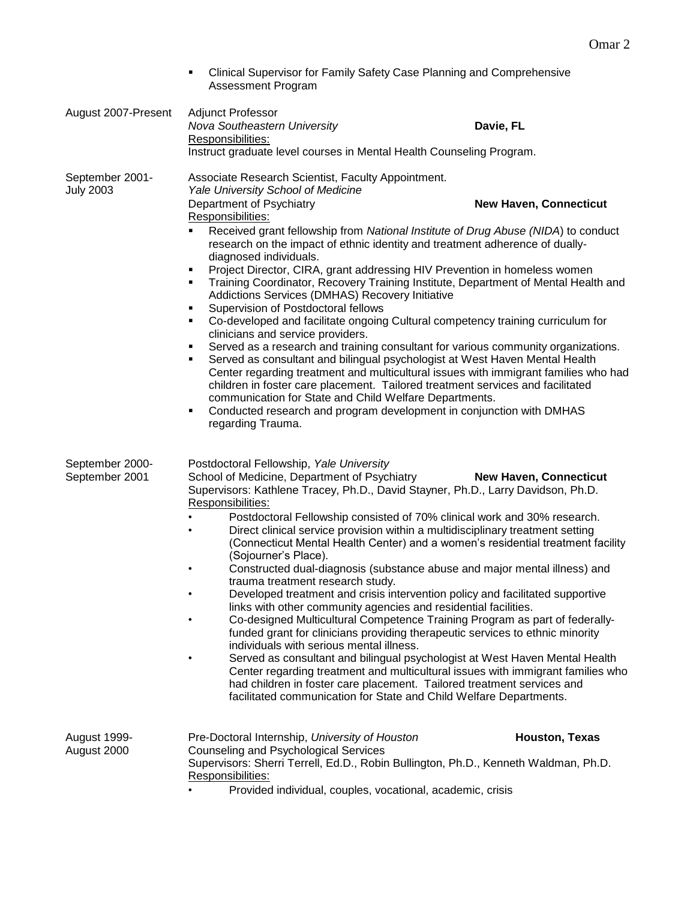|                                     | Clinical Supervisor for Family Safety Case Planning and Comprehensive<br>Assessment Program                                                                                                                                                                                                                                                                                                                                                                                                                                                                                                                                                                                                                                  |                                                                                                                                                                                                                                                                                                                                                                                                                                                                                                                                                                                                                                                                                                                                                                                                                                                          |
|-------------------------------------|------------------------------------------------------------------------------------------------------------------------------------------------------------------------------------------------------------------------------------------------------------------------------------------------------------------------------------------------------------------------------------------------------------------------------------------------------------------------------------------------------------------------------------------------------------------------------------------------------------------------------------------------------------------------------------------------------------------------------|----------------------------------------------------------------------------------------------------------------------------------------------------------------------------------------------------------------------------------------------------------------------------------------------------------------------------------------------------------------------------------------------------------------------------------------------------------------------------------------------------------------------------------------------------------------------------------------------------------------------------------------------------------------------------------------------------------------------------------------------------------------------------------------------------------------------------------------------------------|
| August 2007-Present                 | <b>Adjunct Professor</b><br>Nova Southeastern University<br>Responsibilities:<br>Instruct graduate level courses in Mental Health Counseling Program.                                                                                                                                                                                                                                                                                                                                                                                                                                                                                                                                                                        | Davie, FL                                                                                                                                                                                                                                                                                                                                                                                                                                                                                                                                                                                                                                                                                                                                                                                                                                                |
| September 2001-<br><b>July 2003</b> | Associate Research Scientist, Faculty Appointment.<br>Yale University School of Medicine<br>Department of Psychiatry<br>Responsibilities:<br>research on the impact of ethnic identity and treatment adherence of dually-<br>diagnosed individuals.<br>Project Director, CIRA, grant addressing HIV Prevention in homeless women<br>Addictions Services (DMHAS) Recovery Initiative<br>Supervision of Postdoctoral fellows<br>٠<br>٠<br>clinicians and service providers.<br>٠<br>children in foster care placement. Tailored treatment services and facilitated<br>communication for State and Child Welfare Departments.<br>Conducted research and program development in conjunction with DMHAS<br>٠<br>regarding Trauma. | <b>New Haven, Connecticut</b><br>Received grant fellowship from National Institute of Drug Abuse (NIDA) to conduct<br>Training Coordinator, Recovery Training Institute, Department of Mental Health and<br>Co-developed and facilitate ongoing Cultural competency training curriculum for<br>Served as a research and training consultant for various community organizations.<br>Served as consultant and bilingual psychologist at West Haven Mental Health<br>Center regarding treatment and multicultural issues with immigrant families who had                                                                                                                                                                                                                                                                                                   |
| September 2000-<br>September 2001   | Postdoctoral Fellowship, Yale University<br>School of Medicine, Department of Psychiatry<br>Supervisors: Kathlene Tracey, Ph.D., David Stayner, Ph.D., Larry Davidson, Ph.D.<br>Responsibilities:<br>(Sojourner's Place).<br>$\bullet$<br>trauma treatment research study.<br>links with other community agencies and residential facilities.<br>individuals with serious mental illness.<br>facilitated communication for State and Child Welfare Departments.                                                                                                                                                                                                                                                              | <b>New Haven, Connecticut</b><br>Postdoctoral Fellowship consisted of 70% clinical work and 30% research.<br>Direct clinical service provision within a multidisciplinary treatment setting<br>(Connecticut Mental Health Center) and a women's residential treatment facility<br>Constructed dual-diagnosis (substance abuse and major mental illness) and<br>Developed treatment and crisis intervention policy and facilitated supportive<br>Co-designed Multicultural Competence Training Program as part of federally-<br>funded grant for clinicians providing therapeutic services to ethnic minority<br>Served as consultant and bilingual psychologist at West Haven Mental Health<br>Center regarding treatment and multicultural issues with immigrant families who<br>had children in foster care placement. Tailored treatment services and |
| August 1999-<br>August 2000         | Pre-Doctoral Internship, University of Houston<br>Counseling and Psychological Services<br>Supervisors: Sherri Terrell, Ed.D., Robin Bullington, Ph.D., Kenneth Waldman, Ph.D.<br>Responsibilities:<br>Provided individual, couples, vocational, academic, crisis                                                                                                                                                                                                                                                                                                                                                                                                                                                            | Houston, Texas                                                                                                                                                                                                                                                                                                                                                                                                                                                                                                                                                                                                                                                                                                                                                                                                                                           |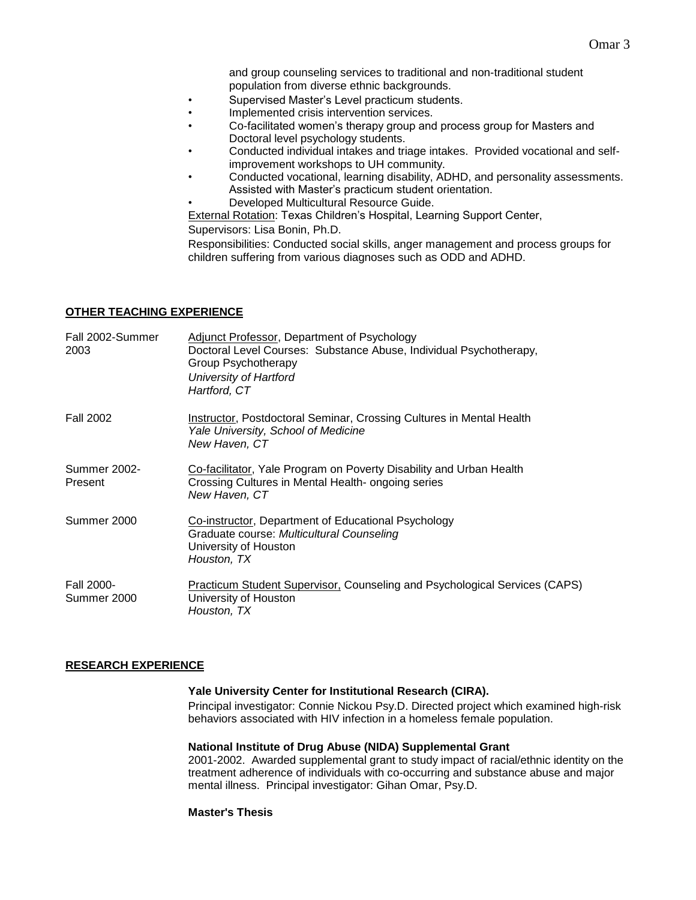and group counseling services to traditional and non-traditional student population from diverse ethnic backgrounds.

- Supervised Master's Level practicum students.
- Implemented crisis intervention services.
- Co-facilitated women's therapy group and process group for Masters and Doctoral level psychology students.
- Conducted individual intakes and triage intakes. Provided vocational and selfimprovement workshops to UH community.
- Conducted vocational, learning disability, ADHD, and personality assessments. Assisted with Master's practicum student orientation.
- Developed Multicultural Resource Guide.

External Rotation: Texas Children's Hospital, Learning Support Center,

Supervisors: Lisa Bonin, Ph.D.

Responsibilities: Conducted social skills, anger management and process groups for children suffering from various diagnoses such as ODD and ADHD.

### **OTHER TEACHING EXPERIENCE**

| Fall 2002-Summer<br>2003         | Adjunct Professor, Department of Psychology<br>Doctoral Level Courses: Substance Abuse, Individual Psychotherapy,<br>Group Psychotherapy<br>University of Hartford<br>Hartford, CT |
|----------------------------------|------------------------------------------------------------------------------------------------------------------------------------------------------------------------------------|
| <b>Fall 2002</b>                 | Instructor, Postdoctoral Seminar, Crossing Cultures in Mental Health<br>Yale University, School of Medicine<br>New Haven, CT                                                       |
| <b>Summer 2002-</b><br>Present   | Co-facilitator, Yale Program on Poverty Disability and Urban Health<br>Crossing Cultures in Mental Health- ongoing series<br>New Haven, CT                                         |
| Summer 2000                      | Co-instructor, Department of Educational Psychology<br>Graduate course: Multicultural Counseling<br>University of Houston<br>Houston, TX                                           |
| <b>Fall 2000-</b><br>Summer 2000 | <b>Practicum Student Supervisor, Counseling and Psychological Services (CAPS)</b><br>University of Houston<br>Houston. TX                                                          |

#### **RESEARCH EXPERIENCE**

#### **Yale University Center for Institutional Research (CIRA).**

Principal investigator: Connie Nickou Psy.D. Directed project which examined high-risk behaviors associated with HIV infection in a homeless female population.

#### **National Institute of Drug Abuse (NIDA) Supplemental Grant**

2001-2002. Awarded supplemental grant to study impact of racial/ethnic identity on the treatment adherence of individuals with co-occurring and substance abuse and major mental illness. Principal investigator: Gihan Omar, Psy.D.

#### **Master's Thesis**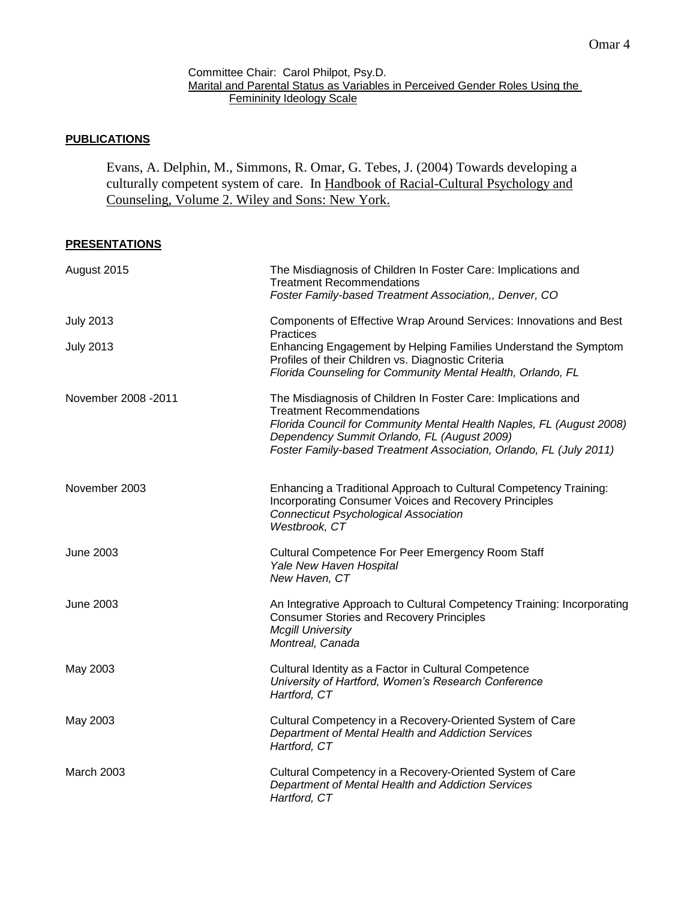#### Committee Chair: Carol Philpot, Psy.D. Marital and Parental Status as Variables in Perceived Gender Roles Using the Femininity Ideology Scale

### **PUBLICATIONS**

Evans, A. Delphin, M., Simmons, R. Omar, G. Tebes, J. (2004) Towards developing a culturally competent system of care. In Handbook of Racial-Cultural Psychology and Counseling, Volume 2. Wiley and Sons: New York.

### **PRESENTATIONS**

| August 2015          | The Misdiagnosis of Children In Foster Care: Implications and<br><b>Treatment Recommendations</b><br>Foster Family-based Treatment Association,, Denver, CO                                                                                                                                    |
|----------------------|------------------------------------------------------------------------------------------------------------------------------------------------------------------------------------------------------------------------------------------------------------------------------------------------|
| <b>July 2013</b>     | Components of Effective Wrap Around Services: Innovations and Best<br>Practices                                                                                                                                                                                                                |
| <b>July 2013</b>     | Enhancing Engagement by Helping Families Understand the Symptom<br>Profiles of their Children vs. Diagnostic Criteria<br>Florida Counseling for Community Mental Health, Orlando, FL                                                                                                           |
| November 2008 - 2011 | The Misdiagnosis of Children In Foster Care: Implications and<br><b>Treatment Recommendations</b><br>Florida Council for Community Mental Health Naples, FL (August 2008)<br>Dependency Summit Orlando, FL (August 2009)<br>Foster Family-based Treatment Association, Orlando, FL (July 2011) |
| November 2003        | Enhancing a Traditional Approach to Cultural Competency Training:<br><b>Incorporating Consumer Voices and Recovery Principles</b><br><b>Connecticut Psychological Association</b><br>Westbrook, CT                                                                                             |
| <b>June 2003</b>     | Cultural Competence For Peer Emergency Room Staff<br>Yale New Haven Hospital<br>New Haven, CT                                                                                                                                                                                                  |
| <b>June 2003</b>     | An Integrative Approach to Cultural Competency Training: Incorporating<br><b>Consumer Stories and Recovery Principles</b><br><b>Mcgill University</b><br>Montreal, Canada                                                                                                                      |
| May 2003             | Cultural Identity as a Factor in Cultural Competence<br>University of Hartford, Women's Research Conference<br>Hartford, CT                                                                                                                                                                    |
| May 2003             | Cultural Competency in a Recovery-Oriented System of Care<br>Department of Mental Health and Addiction Services<br>Hartford, CT                                                                                                                                                                |
| March 2003           | Cultural Competency in a Recovery-Oriented System of Care<br>Department of Mental Health and Addiction Services<br>Hartford, CT                                                                                                                                                                |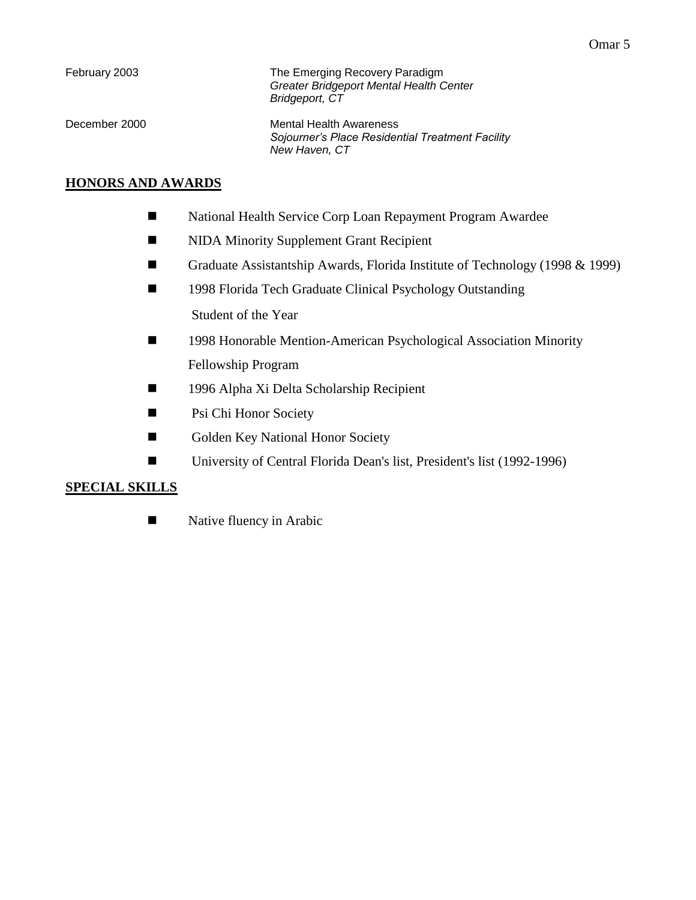| February 2003 | The Emerging Recovery Paradigm<br><b>Greater Bridgeport Mental Health Center</b><br>Bridgeport, CT |
|---------------|----------------------------------------------------------------------------------------------------|
| December 2000 | Mental Health Awareness<br>Sojourner's Place Residential Treatment Facility<br>New Haven, CT       |

## **HONORS AND AWARDS**

- National Health Service Corp Loan Repayment Program Awardee
- **NIDA Minority Supplement Grant Recipient**
- Graduate Assistantship Awards, Florida Institute of Technology (1998 & 1999)
- 1998 Florida Tech Graduate Clinical Psychology Outstanding

Student of the Year

- 1998 Honorable Mention-American Psychological Association Minority Fellowship Program
- 1996 Alpha Xi Delta Scholarship Recipient
- **Psi Chi Honor Society**
- Golden Key National Honor Society
- University of Central Florida Dean's list, President's list (1992-1996)

## **SPECIAL SKILLS**

Native fluency in Arabic